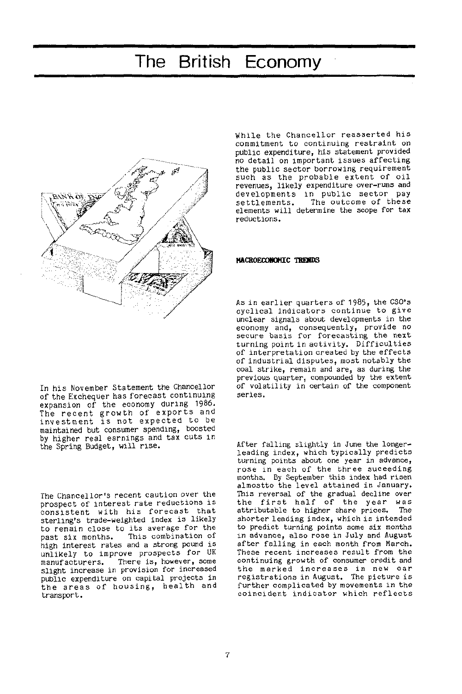

While the Chancellor reasserted his commitment to continuing restraint on public expenditure, his statement provided no detail on important issues affecting the public sector borrowing requirement such as the probable extent of oil revenues, likely expenditure over-runs and developments in public sector pay<br>settlements. The outcome of these The outcome of these elements will determine the scope for tax reductions.

### **MACROECONOMIC TRENDS**

As in earlier quarters of 1985, the CSO's cyclical indicators continue to give unclear signals about developments in the economy and, consequently, provide no secure basis for forecasting the next turning point in activity. Difficulties of interpretation created by the effects of industrial disputes, most notably the coal strike, remain and are, as during the previous quarter, compounded by the extent of volatility in certain of the component series.

After falling slightly in June the longerleading index, which typically predicts turning points about one year in advance, rose in each of the three suceeding months. By September this index had risen almostto the level attained in January. This reversal of the gradual decline over the first half of the year was attributable to higher share prices. The shorter leading index, which is intended to predict turning points some six months in advance, also rose in July and August after falling in each month from March. These recent increases result from the continuing growth of consumer credit and the marked increases in new car registrations in August. The picture is further complicated by movements in the coincident indicator which reflects

In his November Statement the Chancellor of the Exchequer has forecast continuing expansion of the economy during 1986. The recent growth of exports and investment is not expected to be maintained but consumer spending, boosted by higher real earnings and tax cuts in the Spring Budget, will rise .

The Chancellor's recent caution over the prospect of interest rate reductions is consistent with his forecast that sterling's trade-weighted index is likely to remain close to its average for the<br>past six months. This combination of This combination of high interest rates and a strong pound is unlikely to improve prospects for UK manufacturers. There is, however, some slight increase in provision for increased public expenditure on capital projects in the areas of housing, health and transport.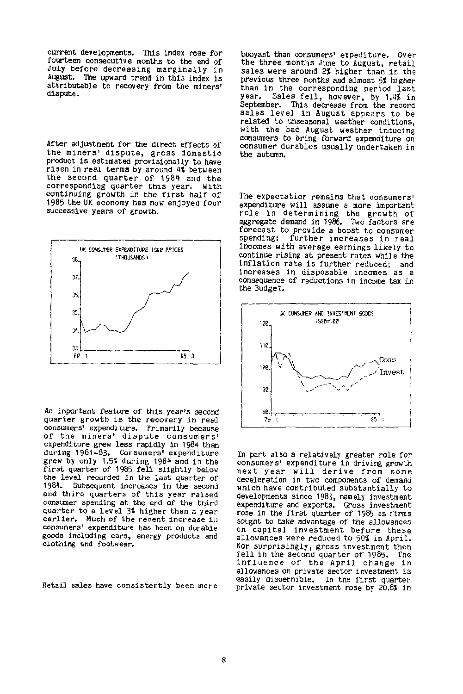current developments. This index rose for fourteen consecutive months to the end of July before decreasing marginally in August. The upward trend in this index is attributable to recovery from the miners' dispute.

After adjustment for the direct effects of the miners' dispute, gross domestic product is estimated provisionally to have risen in real terms by around 4% between the second quarter of 1984 and the corresponding quarter this year. With continuing growth in the first half of 1985 the UK economy has now enjoyed four successive years of growth.



An important feature of this year's second quarter growth is the recovery in real consumers' expenditure. Primarily because of the miners' dispute consumers' expenditure grew less rapidly in 1984 than during 1981-83. Consumers' expenditure grew by only 1.5% during 1984 and in the first quarter of 1985 fell slightly below the level recorded in the last quarter of 1984. Subsequent increases in the second and third quarters of this year raised consumer spending at the end of the third quarter to a level 3% higher than a year earlier. Much of the recent increase in consumers' expenditure has been on durable goods including cars, energy products and clothing and footwear.

Retail sales have consistently been more

buoyant than consumers' expediture. Over the three months June to August, retail sales were around 2% higher than in the previous three months and almost 5% higher than in the corresponding period last year. Sales fell, however, by 1.4% in September. This decrease from the record sales level in August appears to be related to unseasonal weather conditions, with the bad August weather inducing consumers to bring forward expenditure on consumer durables usually undertaken in the autumn.

The expectation remains that consumers' expenditure will assume a more important role in determining the growth of aggregate demand in 1986. Two factors are forecast to provide a boost to consumer spending: further increases in real incomes with average earnings likely to continue rising at present rates while the inflation rate is further reduced; and increases in disposable incomes as a consequence of reductions in income tax in the Budget.



In part also a relatively greater role for consumers' expenditure in driving growth next year will derive from some deceleration in two components of demand which have contributed substantially to developments since 1983, namely investment expenditure and exports. Gross investment rose in the first quarter of 1985 as firms sought to take advantage of the allowances on capital investment before these allowances were reduced to 50% in April. Nor surprisingly, gross investment then fell in the second quarter of 1985- The influence of the April change in allowances on private sector investment is easily discernible. In the first quarter private sector investment rose by 20.8% in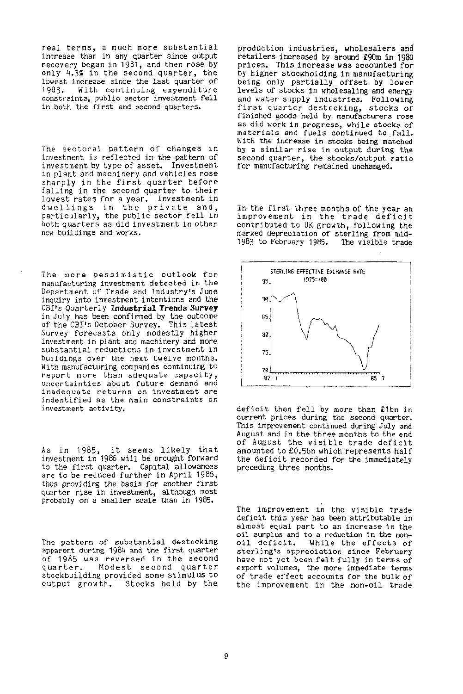real terms, a much more substantial increase than in any quarter since output recovery began in 1981, and then rose by only 4.3% in the second quarter, the lowest increase since the last quarter of 1983. With continuing expenditure constraints, public sector investment fell in both the first and second quarters.

The sectoral pattern of changes in investment is reflected in the pattern of investment by type of asset. Investment in plant and machinery, and vehicles rose sharply in the first quarter before falling in the second quarter to their lowest rates for a year. Investment in dwellings in the private and, particularly, the public sector fell in both quarters as did investment in other new buildings and works.

The more pessimistic outlook for manufacturing investment detected in the Department of Trade and Industry's June inquiry into investment intentions and the CBI's Quarterly **Industrial Trends Survey**  in July has been confirmed by the outcome of the CBI's October Survey. This latest Survey forecasts only modestly higher investment in plant and machinery and more substantial reductions in investment in buildings over the next twelve months. With manufacturing companies continuing to report more than adequate capacity, uncertainties about future demand and inadequate returns on investment are indentified as the main constraints on investment activity.

As in 1985, it seems likely that investment in 1986 will be brought forward to the first quarter. Capital allowances are to be reduced further in April 1986, thus providing the basis for another first quarter rise in investment, although most probably on a smaller scale than in 1985.

The pattern of substantial destocking apparent during 1984 and the first quarter of 1985 was reversed in the second quarter. Modest second quarter stockbuilding provided some stimulus to output growth. Stocks held by the

production industries, wholesalers and retailers increased by around £90m in 1980 prices. This increase was accounted for by higher stockholding in manufacturing being only partially offset by lower levels of stocks in wholesaling and energy and water supply industries. Following first quarter destocking, stocks of finished goods held by manufacturers rose as did work in progress, while stocks of materials and fuels continued to fall. With the increase in stocks being matched by a similar rise in output during the second quarter, the stocks/output ratio for manufacturing remained unchanged.

In the first three months of the year an improvement in the trade deficit contributed to UK growth, following the marked depreciation of sterling from mid-<br>1983 to February 1985. The visible trade 1983 to February 1985.



deficit then fell by more than £1bn in current prices during the second quarter. This improvement continued during July and August and in the three months to the end of August the visible trade deficit amounted to £0.5bn which represents half the deficit recorded for the immediately preceding three months.

The improvement in the visible trade deficit this year has been attributable in almost equal part to an increase in the oil surplus and to a reduction in the non-<br>oil deficit. While the effects of While the effects of sterling's appreciation since February have not yet been felt fully in terms of export volumes, the more immediate terms of trade effect accounts for the bulk of the improvement in the non-oil trade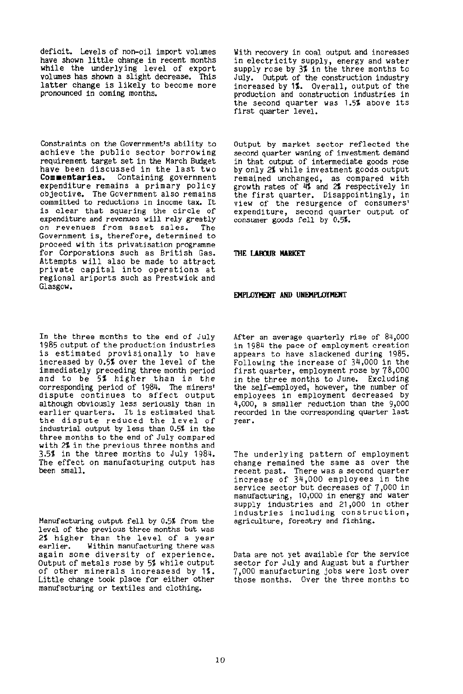deficit. Levels of non-oil import volumes have shown little change in recent months while the underlying level of export volumes has shown a slight decrease. This latter change is likely to become more pronounced in coming months.

Constraints on the Government's ability to achieve the public sector borrowing requirement target set in the March Budget have been discussed in the last two<br>**Commentaries.** Containing government Containing government expenditure remains a primary policy objective. The Government also remains committed to reductions in income tax. It is clear that squaring the circle of expenditure and revenues will rely greatly on revenues from asset sales. The Government is, therefore, determined to proceed with its privatisation programme for Corporations such as British Gas. Attempts will also be made to attract private capital into operations at regional ariports such as Prestwick and Glasgow.

In the three months to the end of July 1985 output of the production industries is estimated provisionally to have increased by 0.5% over the level of the immediately preceding three month period and to be 5% higher than in the corresponding period of 1984. The miners' dispute continues to affect output although obviously less seriously than in earlier quarters. It is estimated that the dispute reduced the level of industrial output by less than 0.5% in the three months to the end of July compared with 2% in the previous three months and 3.5% in the three months to July 1984. The effect on manufacturing output has been small.

Manufacturing output fell by 0.5% from the level of the previous three months but was 2% higher than the level of a year earlier. Within manufacturing there was again some diversity of experience. Output of metals rose by 5% while output of other minerals increasesd by 1%. Little change took place for either other manufacturing or textiles and clothing.

With recovery in coal output and increases in electricity supply, energy and water supply rose by 3% in the three months to July. Output of the construction industry increased by 1%. Overall, output of the production and construction industries in the second quarter was 1.5% above its first quarter level.

Output by market sector reflected the second quarter waning of investment demand in that output of intermediate goods rose by only 2% while investment goods output remained unchanged, as compared with growth rates of 4% and 2% respectively in the first quarter. Disappointingly, in view of the resurgence of consumers' expenditure, second quarter output of consumer goods fell by 0.5%.

## **THE LABOUR MARKET**

#### **EMPLOYMENT AND UNEMPLOYMENT**

After an average quarterly rise of 84,000 in 1984 the pace of employment creation appears to have slackened during 1985. Following the increase of 34,000 in the first quarter, employment rose by 78,000 in the three months to June. Excluding the self-employed, however, the number of employees in employment decreased by 4,000, a smaller reduction than the 9,000 recorded in the corresponding quarter last year.

The underlying pattern of employment change remained the same as over the recent past. There was a second quarter increase of 34,000 employees in the service sector but decreases of 7,000 in manufacturing, 10,000 in energy and water supply industries and 21,000 in other industries including construction, agriculture, forestry and fishing.

Data are not yet available for the service sector for July and August but a further 7,000 manufacturing jobs were lost over those months. Over the three months to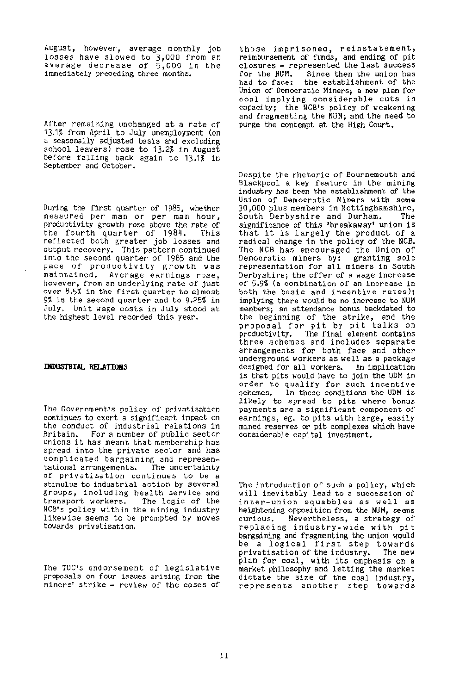August, however, average monthly job losses have slowed to 3,000 from an average decrease of  $\bar{5,}000$  in the immediately preceding three months.

After remaining unchanged at a rate of 13.1% from April to July unemployment (on a seasonally adjusted basis and excluding school leavers) rose to 13.2% in August before falling back again to 13.1% in September and October.

During the first quarter of 1985, whether measured per man or per man hour, productivity growth rose above the rate of<br>the fourth quarter of 1984. This the fourth quarter of 1984. reflected both greater job losses and output recovery. This pattern continued into the second quarter of 1985 and the pace of productivity growth was maintained. Average earnings rose , however, from an underlying rate of just over 8.5% in the first quarter to almost 9% in the second quarter and to 9.25% in July. Unit wage costs in July stood at the highest level recorded this year.

## **INDUSTRIAL RELATIONS**

The Government's policy of privatisation continues to exert a significant impact on the conduct of industrial relations in Britain. For a number of public sector unions it has meant that membership has spread into the private sector and has complicated bargaining and represen-<br>tational arrangements. The uncertainty tational arrangements. of privatisation continues to be a stimulus to industrial action by several groups, including health service and<br>transport workers. The logic of the transport workers. NCB's policy within the mining industry likewise seems to be prompted by moves towards privatisation.

The TUC's endorsement of legislative proposals on four issues arising from the miners' strike - review of the cases of

those imprisoned, reinstatement, reimbursement of funds, and ending of pit closures - represented the last success<br>for the NUM. Since then the union has for the NUM. Since then the union has<br>had to face: the establishment of the the establishment of the Union of Democratic Miners; a new plan for coal implying considerable cuts in capacity; the NCB's policy of weakening and fragmenting the NUM; and the need to purge the contempt at the High Court.

Despite the rhetoric of Bournemouth and Blackpool a key feature in the mining industry has been the establishment of the Union of Democratic Miners with some 30,000 plus members in Nottinghamshire,<br>South Derbyshire and Durham, The South Derbyshire and Durham. significance of this 'breakaway' union is that it is largely the product of a radical change in the policy of the NCB. The NCB has encouraged the Union of Democratic miners by: granting sole representation for all miners in South Derbyshire; the offer of a wage increase of 5.9% (a combination of an increase in both the basic and incentive rates); implying there would be no increase to NUM members; an attendance bonus backdated to the beginning of the strike, and the proposal for pit by pit talks on productivity. The final element contains three schemes and includes separate arrangements for both face and other underground workers as well as a package designed for all workers. An implication is that pits would have to join the UDM in order to qualify for such incentive<br>schemes. In these conditions the UDM is In these conditions the UDM is likely to spread to pits where bonus payments are a significant component of earnings, eg. to pits with large, easily mined reserves or pit complexes which have considerable capital investment.

The introduction of such a policy, which will inevitably lead to a succession of inter-union squabbles as well as heightening opposition from the NUM, seems<br>curious. Nevertheless, a strategy of Nevertheless, a strategy of replacing industry-wide with pit bargaining and fragmenting the union would be a logical first step towards privatisation of the industry. The new plan for coal, with its emphasis on a market philosophy and letting the market dictate the size of the coal industry, represents another step towards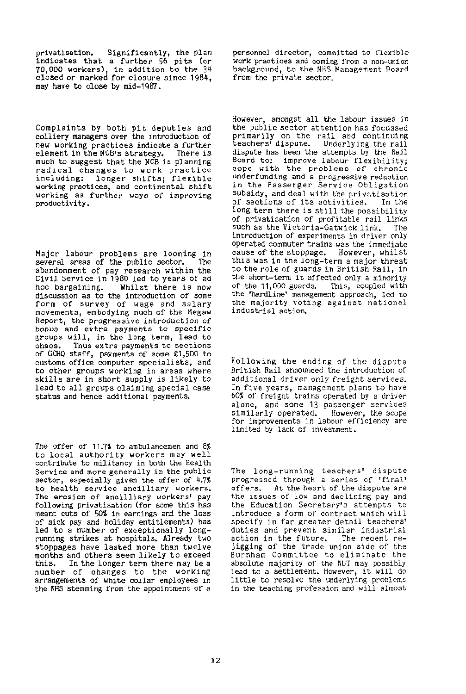privatisation. Significantly, the plan indicates that a further 56 pits (or 70,000 workers), in addition to the 34 closed or marked for closure since 1984, may have to close by mid-1987.

Complaints by both pit deputies and colliery managers over the introduction of new working practices indicate a further<br>element in the NCB's strategy. There is element in the NCB's strategy. much to suggest that the NCB is planning radical changes to work practice including: longer shifts; flexible working practices, and continental shift working as further ways of improving productivity.

Major labour problems are looming in<br>several areas of the public sector. The several areas of the public sector. abandonment of pay research within the Civil Service in 1980 led to years of ad Whilst there is now discussion as to the introduction of some form of survey of wage and salary movements, embodying much of the Megaw Report, the progressive introduction of bonus and extra payments to specific groups will, in the long term, lead to chaos. Thus extra payments to sections of GCHQ staff, payments of some £1,500 to customs office computer specialists, and to other groups working in areas where skills are in short supply is likely to lead to all groups claiming special case status and hence additional payments.

The offer of 11.7% to ambulancemen and 8% to local authority workers may well contribute to militancy in both the Health Service and more generally in the public sector, especially given the offer of 4.7% to health service ancilliary workers. The erosion of ancilliary workers' pay following privatisation (for some this has meant cuts of 50\$ in earnings and the loss of sick pay and holiday entitlements) has led to a number of exceptionally longrunning strikes at hospitals. Already two stoppages have lasted more than twelve months and others seem likely to exceed this. In the longer term there may be a number of changes to the working arrangements of white collar employees in the NHS stemming from the appointment of a personnel director, committed to flexible work practices and coming from a non-union background, to the NHS Management Board from the private sector.

However, amongst all the labour issues in the public sector attention has focussed primarily on the rail and continuing<br>teachers' dispute. Underlying the rail Underlying the rail dispute has been the attempts by the Rail Board to: improve labour flexibility; cope with the problems of chronic underfunding and a progressive reduction in the Passenger Service Obligation subsidy, and deal with the privatisation of sections of its activities. In the long term there is still the possibility of privatisation of profitable rail links such as the Victoria-Gatwick link. The introduction of experiments in driver only operated commuter trains was the immediate cause of the stoppage. However, whilst this was in the long-term a major threat to the role of guards in British Rail, in the short-term it affected only a minority of the 11,000 guards. This, coupled with the 'hardline' management approach, led to the majority voting against national industrial action.

Following the ending of the dispute British Rail announced the introduction of additional driver only freight services. In five years, management plans to have 60% of freight trains operated by a driver alone, and some 13 passenger services similarly operated. However, the scope for improvements in labour efficiency are limited by lack of investment.

The long-running teachers' dispute progressed through a series of 'final' offers. At the heart of the dispute are the issues of low and declining pay and the Education Secretary's attempts to introduce a form of contract which will specify in far greater detail teachers' duties and prevent similar industrial action in the future. The recent rejigging of the trade union side of the Burnham Committee to eliminate the absolute majority of the NUT may possibly lead to a settlement. However, it will do little to resolve the underlying problems in the teaching profession and will almost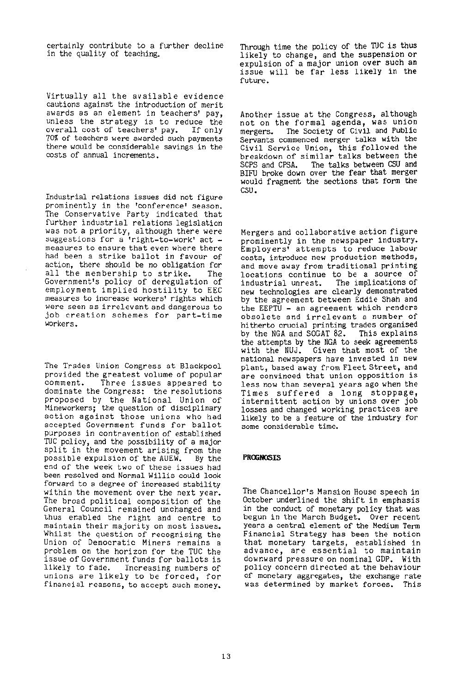certainly contribute to a further decline in the quality of teaching.

Virtually all the available evidence cautions against the introduction of merit awards as an element in teachers' pay, unless the strategy is to reduce the<br>overall cost of teachers' pay. If only overall cost of teachers' pay. 70% of teachers were awarded such payments there would be considerable savings in the costs of annual increments.

Industrial relations issues did not figure prominently in the 'conference' season. The Conservative Party indicated that further industrial relations legislation was not a priority, although there were suggestions for a 'right-to-work' act measures to ensure that even where there had been a strike ballot in favour of action, there should be no obligation for all the membership to strike. The Government's policy of deregulation of employment implied hostility to EEC measures to increase workers\* rights which were seen as irrelevant and dangerous to job creation schemes for part-time workers.

The Trades Union Congress at Blackpool provided the greatest volume of popular<br>comment. Three issues appeared to Three issues appeared to dominate the Congress: the resolutions proposed by the National Union of Mineworkers; the question of disciplinary action against those unions who had accepted Government funds for ballot purposes in contravention of established TUC policy, and the possibility of a major split in the movement arising from the<br>possible expulsion of the AUEW. By the possible expulsion of the AUEW. end of the week two of these issues had been resolved and Normal Willis could look forward to a degree of increased stability within the movement over the next year. The broad political composition of the General Council remained unchanged and thus enabled the right and centre to maintain their majority on most issues. Whilst the question of recognising the Union of Democratic Miners remains a problem on the horizon for the TUC the issue of Government funds for ballots is likely to fade. Increasing numbers of unions are likely to be forced, for financial reasons, to accept such money.

Through time the policy of the TUC is thus likely to change, and the suspension or expulsion of a major union over such an issue will be far less likely in the future.

Another issue at the Congress, although not on the formal agenda, was union mergers. The Society of Civil and Public Servants commenced merger talks with the Civil Service Union, this followed the breakdown of similar talks between the SCPS and CPSA. The talks between CSU and BIFU broke down over the fear that merger would fragment the sections that form the CSU.

Mergers and collaborative action figure prominently in the newspaper industry. Employers' attempts to reduce labour costs, introduce new production methods, and move away from traditional printing locations continue to be a source of industrial unrest. The implications of new technologies are clearly demonstrated by the agreement between Eddie Shah and the EEPTU - an agreement which renders obsolete and irrelevant a number of hitherto crucial printing trades organised by the NGA and SOGAT 82. This explains the attempts by the NGA to seek agreements with the NUJ. Given that most of the national newspapers have invested in new plant, based away from Fleet Street, and are convinced that union opposition is less now than several years ago when the Times suffered a long stoppage, intermittent action by unions over job losses and changed working practices are likely to be a feature of the industry for some considerable time.

# **PROGNOSIS**

The Chancellor's Mansion House speech in October underlined the shift in emphasis in the conduct of monetary policy that was begun in the March Budget. Over recent years a central element of the Medium Term Financial Strategy has been the notion that monetary targets, established in advance, are essential to maintain downward pressure on nominal GDP. With policy concern directed at the behaviour of monetary aggregates, the exchange rate was determined by market forces. This